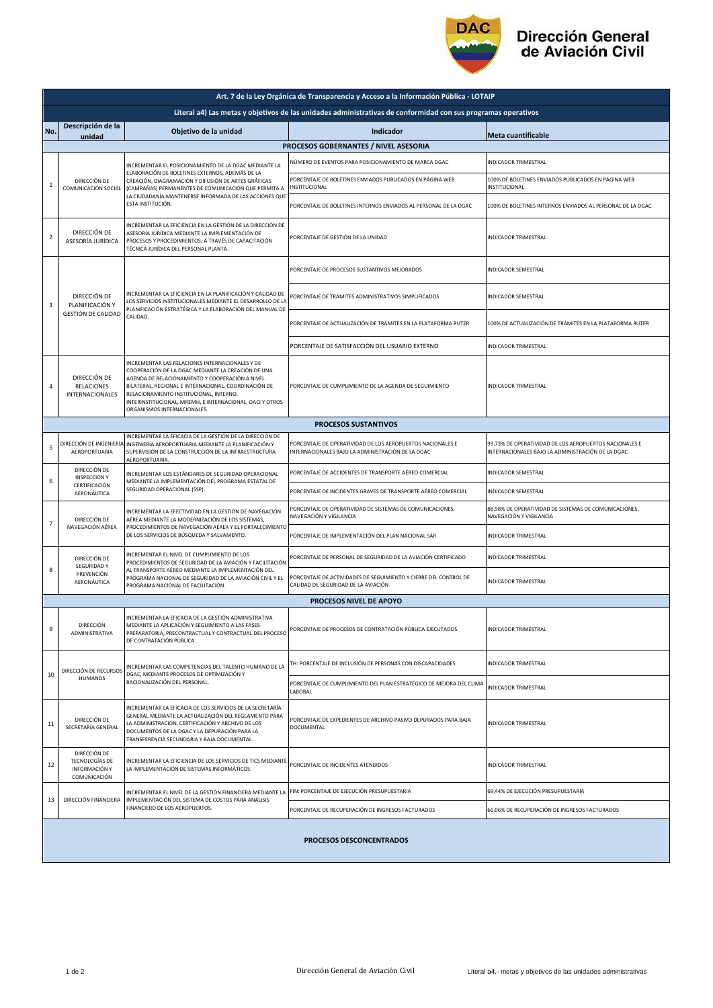

## Dirección General<br>de Aviación Civil

| Art. 7 de la Ley Orgánica de Transparencia y Acceso a la Información Pública - LOTAIP                         |                                                                                                                                                                                                            |                                                                                                                                                                                                                                                                                                                                                        |                                                                                                                 |                                                                                                             |  |  |  |  |
|---------------------------------------------------------------------------------------------------------------|------------------------------------------------------------------------------------------------------------------------------------------------------------------------------------------------------------|--------------------------------------------------------------------------------------------------------------------------------------------------------------------------------------------------------------------------------------------------------------------------------------------------------------------------------------------------------|-----------------------------------------------------------------------------------------------------------------|-------------------------------------------------------------------------------------------------------------|--|--|--|--|
| Literal a4) Las metas y objetivos de las unidades administrativas de conformidad con sus programas operativos |                                                                                                                                                                                                            |                                                                                                                                                                                                                                                                                                                                                        |                                                                                                                 |                                                                                                             |  |  |  |  |
| No.                                                                                                           | Descripción de la<br>unidad                                                                                                                                                                                | Objetivo de la unidad                                                                                                                                                                                                                                                                                                                                  | Indicador                                                                                                       | <b>Meta cuantificable</b>                                                                                   |  |  |  |  |
| PROCESOS GOBERNANTES / NIVEL ASESORIA                                                                         |                                                                                                                                                                                                            |                                                                                                                                                                                                                                                                                                                                                        |                                                                                                                 |                                                                                                             |  |  |  |  |
| 1                                                                                                             | DIRECCIÓN DE<br>COMUNICACIÓN SOCIAL                                                                                                                                                                        | INCREMENTAR EL POSICIONAMIENTO DE LA DGAC MEDIANTE LA<br>ELABORACIÓN DE BOLETINES EXTERNOS, ADEMÁS DE LA<br>CREACIÓN, DIAGRAMACIÓN Y DIFUSIÓN DE ARTES GRÁFICAS<br>(CAMPAÑAS) PERMANENTES DE COMUNICACIÓN QUE PERMITA A<br>LA CIUDADANÍA MANTENERSE INFORMADA DE LAS ACCIONES QUE<br>ESTA INSTITUCIÓN.                                                 | NÚMERO DE EVENTOS PARA POSICIONAMIENTO DE MARCA DGAC                                                            | INDICADOR TRIMESTRAL                                                                                        |  |  |  |  |
|                                                                                                               |                                                                                                                                                                                                            |                                                                                                                                                                                                                                                                                                                                                        | PORCENTAJE DE BOLETINES ENVIADOS PUBLICADOS EN PÁGINA WEB<br>INSTITUCIONAL                                      | 100% DE BOLETINES ENVIADOS PUBLICADOS EN PÁGINA WEB<br>INSTITUCIONAL                                        |  |  |  |  |
|                                                                                                               |                                                                                                                                                                                                            |                                                                                                                                                                                                                                                                                                                                                        | PORCENTAJE DE BOLETINES INTERNOS ENVIADOS AL PERSONAL DE LA DGAC                                                | 100% DE BOLETINES INTERNOS ENVIADOS AL PERSONAL DE LA DGAC                                                  |  |  |  |  |
| $\overline{\mathbf{2}}$                                                                                       | DIRECCIÓN DE<br>ASESORÍA JURÍDICA                                                                                                                                                                          | INCREMENTAR LA EFICIENCIA EN LA GESTIÓN DE LA DIRECCIÓN DE<br>ASESORÍA JURÍDICA MEDIANTE LA IMPLEMENTACIÓN DE<br>PROCESOS Y PROCEDIMIENTOS; A TRAVÉS DE CAPACITACIÓN<br>TÉCNICA JURÍDICA DEL PERSONAL PLANTA.                                                                                                                                          | PORCENTAJE DE GESTIÓN DE LA UNIDAD                                                                              | INDICADOR TRIMESTRAL                                                                                        |  |  |  |  |
| 3                                                                                                             | DIRECCIÓN DE<br>PLANIFICACIÓN Y<br><b>GESTIÓN DE CALIDAD</b>                                                                                                                                               | INCREMENTAR LA EFICIENCIA EN LA PLANIFICACIÓN Y CALIDAD DE<br>LOS SERVICIOS INSTITUCIONALES MEDIANTE EL DESARROLLO DE LA<br>PLANIFICACIÓN ESTRATÉGICA Y LA ELABORACIÓN DEL MANUAL DE<br>CALIDAD.                                                                                                                                                       | PORCENTAJE DE PROCESOS SUSTANTIVOS MEJORADOS                                                                    | INDICADOR SEMESTRAL                                                                                         |  |  |  |  |
|                                                                                                               |                                                                                                                                                                                                            |                                                                                                                                                                                                                                                                                                                                                        | PORCENTAJE DE TRÁMITES ADMINISTRATIVOS SIMPLIFICADOS                                                            | INDICADOR SEMESTRAL                                                                                         |  |  |  |  |
|                                                                                                               |                                                                                                                                                                                                            |                                                                                                                                                                                                                                                                                                                                                        | PORCENTAJE DE ACTUALIZACIÓN DE TRÁMITES EN LA PLATAFORMA RUTER                                                  | 100% DE ACTUALIZACIÓN DE TRÁMITES EN LA PLATAFORMA RUTER                                                    |  |  |  |  |
|                                                                                                               |                                                                                                                                                                                                            |                                                                                                                                                                                                                                                                                                                                                        | PORCENTAJE DE SATISFACCIÓN DEL USUARIO EXTERNO                                                                  | INDICADOR TRIMESTRAL                                                                                        |  |  |  |  |
| 4                                                                                                             | DIRECCIÓN DE<br><b>RELACIONES</b><br><b>INTERNACIONALES</b>                                                                                                                                                | INCREMENTAR LAS RELACIONES INTERNACIONALES Y DE<br>COOPERACIÓN DE LA DGAC MEDIANTE LA CREACIÓN DE UNA<br>AGENDA DE RELACIONAMIENTO Y COOPERACIÓN A NIVEL<br>BILATERAL, REGIONAL E INTERNACIONAL, COORDINACIÓN DE<br>RELACIONAMIENTO INSTITUCIONAL, INTERNO,<br>INTERINSTITUCIONAL, MREMH, E INTERNACIONAL, OACI Y OTROS<br>ORGANISMOS INTERNACIONALES. | PORCENTAJE DE CUMPLIMIENTO DE LA AGENDA DE SEGUIMIENTO                                                          | INDICADOR TRIMESTRAL                                                                                        |  |  |  |  |
| <b>PROCESOS SUSTANTIVOS</b>                                                                                   |                                                                                                                                                                                                            |                                                                                                                                                                                                                                                                                                                                                        |                                                                                                                 |                                                                                                             |  |  |  |  |
| 5                                                                                                             | DIRECCIÓN DE INGENIERÍA<br>AEROPORTUARIA                                                                                                                                                                   | INCREMENTAR LA EFICACIA DE LA GESTIÓN DE LA DIRECCIÓN DE<br>INGENIERÍA AEROPORTUARIA MEDIANTE LA PLANIFICACIÓN Y<br>SUPERVISIÓN DE LA CONSTRUCCIÓN DE LA INFRAESTRUCTURA<br>AEROPORTUARIA.                                                                                                                                                             | PORCENTAJE DE OPERATIVIDAD DE LOS AEROPUERTOS NACIONALES E<br>INTERNACIONALES BAJO LA ADMINISTRACIÓN DE LA DGAC | 99,73% DE OPERATIVIDAD DE LOS AEROPUERTOS NACIONALES E<br>INTERNACIONALES BAJO LA ADMINISTRACIÓN DE LA DGAC |  |  |  |  |
|                                                                                                               | DIRECCIÓN DE<br>INSPECCIÓN Y                                                                                                                                                                               | INCREMENTAR LOS ESTÁNDARES DE SEGURIDAD OPERACIONAL                                                                                                                                                                                                                                                                                                    | PORCENTAJE DE ACCIDENTES DE TRANSPORTE AÉREO COMERCIAL                                                          | INDICADOR SEMESTRAL                                                                                         |  |  |  |  |
| 6                                                                                                             | CERTIFICACIÓN<br>AERONÁUTICA                                                                                                                                                                               | MEDIANTE LA IMPLEMENTACIÓN DEL PROGRAMA ESTATAL DE<br>SEGURIDAD OPERACIONAL (SSP).                                                                                                                                                                                                                                                                     | PORCENTAJE DE INCIDENTES GRAVES DE TRANSPORTE AÉREO COMERCIAL                                                   | INDICADOR SEMESTRAL                                                                                         |  |  |  |  |
| $\overline{7}$                                                                                                | DIRECCIÓN DE<br>NAVEGACIÓN AÉREA                                                                                                                                                                           | INCREMENTAR LA EFECTIVIDAD EN LA GESTIÓN DE NAVEGACIÓN<br>AÉREA MEDIANTE LA MODERNIZACIÓN DE LOS SISTEMAS,                                                                                                                                                                                                                                             | PORCENTAJE DE OPERATIVIDAD DE SISTEMAS DE COMUNICACIONES,<br>NAVEGACIÓN Y VIGILANCIA                            | 88,98% DE OPERATIVIDAD DE SISTEMAS DE COMUNICACIONES,<br>NAVEGACIÓN Y VIGILANCIA                            |  |  |  |  |
|                                                                                                               |                                                                                                                                                                                                            | PROCEDIMIENTOS DE NAVEGACIÓN AÉREA Y EL FORTALECIMIENTO<br>DE LOS SERVICIOS DE BÚSQUEDA Y SALVAMENTO.                                                                                                                                                                                                                                                  | PORCENTAJE DE IMPLEMENTACIÓN DEL PLAN NACIONAL SAR                                                              | INDICADOR TRIMESTRAL                                                                                        |  |  |  |  |
| 8                                                                                                             | INCREMENTAR EL NIVEL DE CUMPLIMIENTO DE LOS<br>DIRECCIÓN DE<br><b>SEGURIDAD Y</b><br>AL TRANSPORTE AÉREO MEDIANTE LA IMPLEMENTACIÓN DEL<br>PREVENCIÓN<br>AERONÁUTICA<br>PROGRAMA NACIONAL DE FACILITACIÓN. | PROCEDIMIENTOS DE SEGURIDAD DE LA AVIACIÓN Y FACILITACIÓN                                                                                                                                                                                                                                                                                              | PORCENTAJE DE PERSONAL DE SEGURIDAD DE LA AVIACIÓN CERTIFICADO                                                  | <b>INDICADOR TRIMESTRAL</b>                                                                                 |  |  |  |  |
|                                                                                                               |                                                                                                                                                                                                            | PROGRAMA NACIONAL DE SEGURIDAD DE LA AVIACIÓN CIVIL Y EL                                                                                                                                                                                                                                                                                               | PORCENTAJE DE ACTIVIDADES DE SEGUIMIENTO Y CIERRE DEL CONTROL DE<br>CALIDAD DE SEGURIDAD DE LA AVIACIÓN         | INDICADOR TRIMESTRAL                                                                                        |  |  |  |  |
|                                                                                                               |                                                                                                                                                                                                            |                                                                                                                                                                                                                                                                                                                                                        | PROCESOS NIVEL DE APOYO                                                                                         |                                                                                                             |  |  |  |  |
| 9                                                                                                             | DIRECCIÓN<br>ADMINISTRATIVA                                                                                                                                                                                | INCREMENTAR LA EFICACIA DE LA GESTIÓN ADMINISTRATIVA<br>MEDIANTE LA APLICACIÓN Y SEGUIMIENTO A LAS FASES<br>PREPARATORIA, PRECONTRACTUAL Y CONTRACTUAL DEL PROCESO<br>DE CONTRATACIÓN PÚBLICA.                                                                                                                                                         | PORCENTAJE DE PROCESOS DE CONTRATACIÓN PÚBLICA EJECUTADOS                                                       | <b>INDICADOR TRIMESTRAL</b>                                                                                 |  |  |  |  |
| 10                                                                                                            | DIRECCIÓN DE RECURSOS<br><b>HUMANOS</b>                                                                                                                                                                    | INCREMENTAR LAS COMPETENCIAS DEL TALENTO HUMANO DE LA<br>DGAC, MEDIANTE PROCESOS DE OPTIMIZACIÓN Y<br>RACIONALIZACIÓN DEL PERSONAL.                                                                                                                                                                                                                    | TH: PORCENTAJE DE INCLUSIÓN DE PERSONAS CON DISCAPACIDADES                                                      | INDICADOR TRIMESTRAL                                                                                        |  |  |  |  |
|                                                                                                               |                                                                                                                                                                                                            |                                                                                                                                                                                                                                                                                                                                                        | PORCENTAJE DE CUMPLIMIENTO DEL PLAN ESTRATÉGICO DE MEJORA DEL CLIMA<br>LABORAL                                  | <b>INDICADOR TRIMESTRAL</b>                                                                                 |  |  |  |  |
| 11                                                                                                            | DIRECCIÓN DE<br>SECRETARÍA GENERAL                                                                                                                                                                         | INCREMENTAR LA EFICACIA DE LOS SERVICIOS DE LA SECRETARÍA<br>GENERAL MEDIANTE LA ACTUALIZACIÓN DEL REGLAMENTO PARA<br>LA ADMINISTRACIÓN, CERTIFICACIÓN Y ARCHIVO DE LOS<br>DOCUMENTOS DE LA DGAC Y LA DEPURACIÓN PARA LA<br>TRANSFERENCIA SECUNDARIA Y BAJA DOCUMENTAL.                                                                                | PORCENTAJE DE EXPEDIENTES DE ARCHIVO PASIVO DEPURADOS PARA BAJA<br><b>DOCUMENTAL</b>                            | <b>INDICADOR TRIMESTRAL</b>                                                                                 |  |  |  |  |
| 12                                                                                                            | DIRECCIÓN DE<br>TECNOLOGÍAS DE<br>INFORMACIÓN Y<br>COMUNICACIÓN                                                                                                                                            | INCREMENTAR LA EFICIENCIA DE LOS SERVICIOS DE TICS MEDIANTE<br>LA IMPLEMENTACIÓN DE SISTEMAS INFORMÁTICOS.                                                                                                                                                                                                                                             | PORCENTAJE DE INCIDENTES ATENDIDOS                                                                              | INDICADOR TRIMESTRAL                                                                                        |  |  |  |  |
| 13                                                                                                            | DIRECCIÓN FINANCIERA                                                                                                                                                                                       | INCREMENTAR EL NIVEL DE LA GESTIÓN FINANCIERA MEDIANTE LA<br>IMPLEMENTACIÓN DEL SISTEMA DE COSTOS PARA ANÁLISIS<br>FINANCIERO DE LOS AEROPUERTOS.                                                                                                                                                                                                      | FIN: PORCENTAJE DE EJECUCIÓN PRESUPUESTARIA                                                                     | 69,44% DE EJECUCIÓN PRESUPUESTARIA                                                                          |  |  |  |  |
|                                                                                                               |                                                                                                                                                                                                            |                                                                                                                                                                                                                                                                                                                                                        | PORCENTAJE DE RECUPERACIÓN DE INGRESOS FACTURADOS                                                               | 66,06% DE RECUPERACIÓN DE INGRESOS FACTURADOS                                                               |  |  |  |  |
| PROCESOS DESCONCENTRADOS                                                                                      |                                                                                                                                                                                                            |                                                                                                                                                                                                                                                                                                                                                        |                                                                                                                 |                                                                                                             |  |  |  |  |